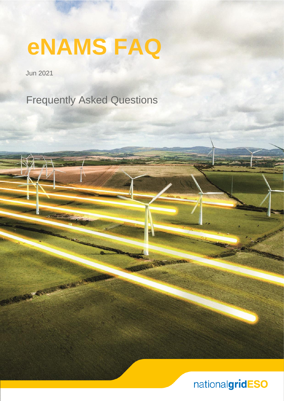**eNAMS FAQ**

Jun 2021

REAL PROPERTY

Frequently Asked Questions

nationalgridESO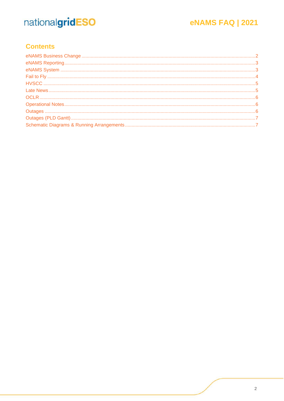## **eNAMS FAQ | 2021**

## **Contents**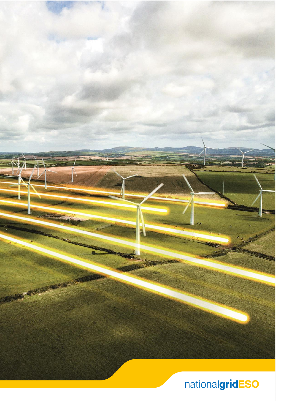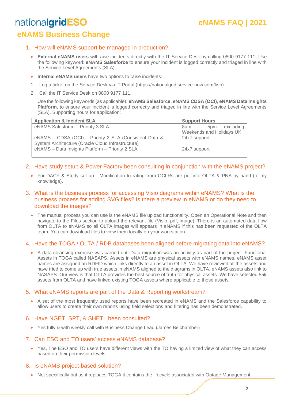## **eNAMS FAQ | 2021**

## <span id="page-3-0"></span>nationalgridESO **eNAMS Business Change**

#### 1. How will eNAMS support be managed in production?

- **External eNAMS users** will raise incidents directly with the IT Service Desk by calling 0800 9177 111. Use the following keyword: **eNAMS Salesforce** to ensure your incident is logged correctly and triaged in line with the Service Level Agreements (SLA).
- **Internal eNAMS users** have two options to raise incidents:
- 1. Log a ticket on the Service Desk via IT Portal (https://nationalgrid.service-now.com/ksp)
- 2. Call the IT Service Desk on 0800 9177 111.

Use the following keywords (as applicable): **eNAMS Salesforce**, **eNAMS CDSA (OCI)**, **eNAMS Data Insights Platform**, to ensure your incident is logged correctly and triaged in line with the Service Level Agreements (SLA). Supporting hours for application:

| <b>Application &amp; Incident SLA</b>                  | <b>Support Hours</b>     |
|--------------------------------------------------------|--------------------------|
| eNAMS Salesforce - Priority 3 SLA                      | 8am - 5pm excluding      |
|                                                        | Weekends and Holidays UK |
| eNAMS - CDSA (OCI) - Priority 2 SLA (Consistent Data & | 24x7 support             |
| System Architecture (Oracle Cloud Infrastructure)      |                          |
| eNAMS - Data Insights Platform - Priority 2 SLA        | 24x7 support             |
|                                                        |                          |

- 2. Have study setup & Power Factory been consulting in conjunction with the eNAMS project?
	- For DACF & Study set up Modification to rating from OCLRs are put into OLTA & PNA by hand (to my knowledge).
- 3. What is the business process for accessing Visio diagrams within eNAMS? What is the business process for adding SVG files? Is there a preview in eNAMS or do they need to download the images?
	- The manual process you can use is the eNAMS file upload functionality. Open an Operational Note and then navigate to the Files section to upload the relevant file (Visio, pdf, image). There is an automated data flow from OLTA to eNAMS so all OLTA images will appears in eNAMS if this has been requested of the OLTA team. You can download files to view them locally on your workstation.

#### 4. Have the TOGA / OLTA / RDB databases been aligned before migrating data into eNAMS?

• A data cleansing exercise was carried out. Data migration was an activity as part of the project. Functional Assets in TOGA called NASAPS. Assets in eNAMS are physical assets with eNAMS names. eNAMS asset names are assigned an RDFID which links directly to an asset in OLTA. We have reviewed all the assets and have tried to come up with true assets in eNAMS aligned to the diagrams in OLTA. eNAMS assets also link to NASAPS. Our view is that OLTA provides the best source of truth for physical assets. We have selected 55k assets from OLTA and have linked existing TOGA assets where applicable to those assets.

#### 5. What eNAMS reports are part of the Data & Reporting workstream?

• A set of the most frequently used reports have been recreated in eNAMS and the Salesforce capability to allow users to create their own reports using field selections and filtering has been demonstrated.

#### 6. Have NGET, SPT, & SHETL been consulted?

• Yes fully & with weekly call with Business Change Lead (James Belchamber)

#### 7. Can ESO and TO users' access eNAMS database?

• Yes, The ESO and TO users have different views with the TO having a limited view of what they can access based on their permission levels.

#### 8. Is eNAMS project-based solution?

• Not specifically but as it replaces TOGA it contains the lifecycle associated with Outage Management.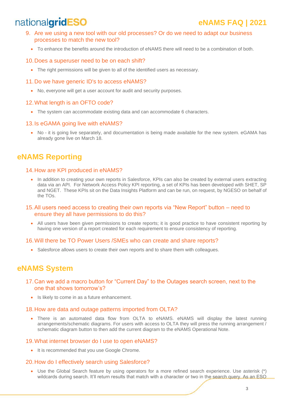## **eNAMS FAQ | 2021**

- 9. Are we using a new tool with our old processes? Or do we need to adapt our business processes to match the new tool?
	- To enhance the benefits around the introduction of eNAMS there will need to be a combination of both.

#### 10.Does a superuser need to be on each shift?

• The right permissions will be given to all of the identified users as necessary.

#### 11.Do we have generic ID's to access eNAMS?

• No, everyone will get a user account for audit and security purposes.

#### 12.What length is an OFTO code?

• The system can accommodate existing data and can accommodate 6 characters.

#### 13.Is eGAMA going live with eNAMS?

• No - it is going live separately, and documentation is being made available for the new system. eGAMA has already gone live on March 18.

### <span id="page-4-0"></span>**eNAMS Reporting**

#### 14.How are KPI produced in eNAMS?

- In addition to creating your own reports in Salesforce, KPIs can also be created by external users extracting data via an API. For Network Access Policy KPI reporting, a set of KPIs has been developed with SHET, SP and NGET. These KPIs sit on the Data Insights Platform and can be run, on request, by NGESO on behalf of the TOs.
- 15.All users need access to creating their own reports via "New Report" button need to ensure they all have permissions to do this?
	- All users have been given permissions to create reports; it is good practice to have consistent reporting by having one version of a report created for each requirement to ensure consistency of reporting.

#### 16.Will there be TO Power Users /SMEs who can create and share reports?

• Salesforce allows users to create their own reports and to share them with colleagues.

### <span id="page-4-1"></span>**eNAMS System**

- 17.Can we add a macro button for "Current Day" to the Outages search screen, next to the one that shows tomorrow's?
	- Is likely to come in as a future enhancement.

#### 18.How are data and outage patterns imported from OLTA?

• There is an automated data flow from OLTA to eNAMS. eNAMS will display the latest running arrangements/schematic diagrams. For users with access to OLTA they will press the running arrangement / schematic diagram button to then add the current diagram to the eNAMS Operational Note.

#### 19.What internet browser do I use to open eNAMS?

• It is recommended that you use Google Chrome.

#### 20.How do I effectively search using Salesforce?

• Use the Global Search feature by using operators for a more refined search experience. Use asterisk (\*) wildcards during search. It'll return results that match with a character or two in the search query. As an ESO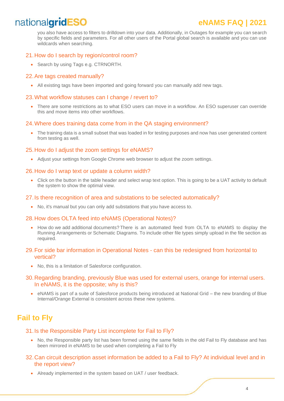## **eNAMS FAQ | 2021**

you also have access to filters to drilldown into your data. Additionally, in Outages for example you can search by specific fields and parameters. For all other users of the Portal global search is available and you can use wildcards when searching.

#### 21.How do I search by region/control room?

• Search by using Tags e.g. CTRNORTH.

#### 22.Are tags created manually?

• All existing tags have been imported and going forward you can manually add new tags.

#### 23.What workflow statuses can I change / revert to?

• There are some restrictions as to what ESO users can move in a workflow. An ESO superuser can override this and move items into other workflows.

#### 24.Where does training data come from in the QA staging environment?

• The training data is a small subset that was loaded in for testing purposes and now has user generated content from testing as well.

#### 25.How do I adjust the zoom settings for eNAMS?

• Adjust your settings from Google Chrome web browser to adjust the zoom settings.

#### 26.How do I wrap text or update a column width?

• Click on the button in the table header and select wrap text option. This is going to be a UAT activity to default the system to show the optimal view.

#### 27.Is there recognition of area and substations to be selected automatically?

• No, it's manual but you can only add substations that you have access to.

#### 28.How does OLTA feed into eNAMS (Operational Notes)?

• How do we add additional documents? There is an automated feed from OLTA to eNAMS to display the Running Arrangements or Schematic Diagrams. To include other file types simply upload in the file section as required.

#### 29.For side bar information in Operational Notes - can this be redesigned from horizontal to vertical?

• No, this is a limitation of Salesforce configuration.

#### 30.Regarding branding, previously Blue was used for external users, orange for internal users. In eNAMS, it is the opposite; why is this?

• eNAMS is part of a suite of Salesforce products being introduced at National Grid – the new branding of Blue Internal/Orange External is consistent across these new systems.

### <span id="page-5-0"></span>**Fail to Fly**

#### 31.Is the Responsible Party List incomplete for Fail to Fly?

• No, the Responsible party list has been formed using the same fields in the old Fail to Fly database and has been mirrored in eNAMS to be used when completing a Fail to Fly

#### 32.Can circuit description asset information be added to a Fail to Fly? At individual level and in the report view?

• Already implemented in the system based on UAT / user feedback.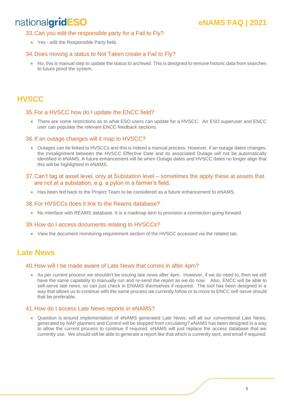## **eNAMS FAQ | 2021**

#### 33.Can you edit the responsible party for a Fail to Fly?

• Yes - edit the Responsible Party field.

#### 34.Does moving a status to Not Taken create a Fail to Fly?

• No, this is manual step to update the status to archived. This is designed to remove historic data from searches to future proof the system.

### <span id="page-6-0"></span>**HVSCC**

#### 35.For a HVSCC how do I update the ENCC field?

• There are some restrictions as to what ESO users can update for a HVSCC. An ESO superuser and ENCC user can populate the relevant ENCC feedback sections.

#### 36.If an outage changes will it map to HVSCC?

- Outages can be linked to HVSCCs and this is indeed a manual process. However, if an outage dates changes, the misalignment between the HVSCC Effective Date and its associated Outage will not be automatically identified in eNAMS. A future enhancement will be when Outage dates and HVSCC dates no longer align that this will be highlighted in eNAMS.
- 37.Can't tag at asset level, only at Substation level sometimes the apply these at assets that are not at a substation, e.g. a pylon in a farmer's field.
	- Has been fed back to the Project Team to be considered as a future enhancement to eNAMS.

#### 38.For HVSCCs does it link to the Reams database?

• No interface with REAMS database. It is a roadmap item to provision a connection going forward.

#### 39.How do I access documents relating to HVSCCs?

• View the document monitoring requirement section of the HVSCC accessed via the related tab.

### <span id="page-6-1"></span>**Late News**

#### 40.How will I be made aware of Late News that comes in after 4pm?

• As per current process we shouldn't be issuing late news after 4pm. However, if we do need to, then we still have the same capability to manually run and re-send the report as we do now. Also, ENCC will be able to self-serve late news, so can just check in ENAMS themselves if required. The tool has been designed in a way that allows us to continue with the same process we currently follow or to move to ENCC self-serve should that be preferable.

#### 41.How do I access Late News reports in eNAMS?

• Question is around implementation of eNAMS generated Late News, will all our conventional Late News, generated by NAP planners and Control will be stopped from circulating? eNAMS has been designed in a way to allow the current process to continue if required. eNAMS will just replace the access database that we currently use. We should still be able to generate a report like that which is currently sent, and email if required.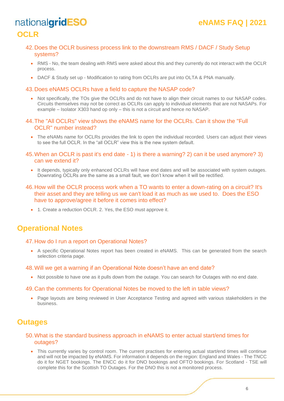## <span id="page-7-0"></span>nationalgridESO **OCLR**

- 42.Does the OCLR business process link to the downstream RMS / DACF / Study Setup systems?
	- RMS No, the team dealing with RMS were asked about this and they currently do not interact with the OCLR process.
	- DACF & Study set up Modification to rating from OCLRs are put into OLTA & PNA manually.

#### 43.Does eNAMS OCLRs have a field to capture the NASAP code?

- Not specifically, the TOs give the OCLRs and do not have to align their circuit names to our NASAP codes. Circuits themselves may not be correct as OCLRs can apply to individual elements that are not NASAPs. For example – Isolator X303 hand op only – this is not a circuit and hence no NASAP.
- 44.The "All OCLRs" view shows the eNAMS name for the OCLRs. Can it show the "Full OCLR" number instead?
	- The eNAMs name for OCLRs provides the link to open the individual recorded. Users can adjust their views to see the full OCLR. In the "all OCLR" view this is the new system default.
- 45.When an OCLR is past it's end date 1) is there a warning? 2) can it be used anymore? 3) can we extend it?
	- It depends, typically only enhanced OCLRs will have end dates and will be associated with system outages. Downrating OCLRs are the same as a small fault, we don't know when it will be rectified.
- 46.How will the OCLR process work when a TO wants to enter a down-rating on a circuit? It's their asset and they are telling us we can't load it as much as we used to. Does the ESO have to approve/agree it before it comes into effect?
	- 1. Create a reduction OCLR. 2. Yes, the ESO must approve it.

## <span id="page-7-1"></span>**Operational Notes**

#### 47.How do I run a report on Operational Notes?

• A specific Operational Notes report has been created in eNAMS. This can be generated from the search selection criteria page.

#### 48.Will we get a warning if an Operational Note doesn't have an end date?

• Not possible to have one as it pulls down from the outage. You can search for Outages with no end date.

#### 49.Can the comments for Operational Notes be moved to the left in table views?

• Page layouts are being reviewed in User Acceptance Testing and agreed with various stakeholders in the business.

### <span id="page-7-2"></span>**Outages**

#### 50.What is the standard business approach in eNAMS to enter actual start/end times for outages?

• This currently varies by control room. The current practises for entering actual start/end times will continue and will not be impacted by eNAMS. For information it depends on the region: England and Wales - The TNCC do it for NGET bookings. The ENCC do it for DNO bookings and OFTO bookings. For Scotland - TSE will complete this for the Scottish TO Outages. For the DNO this is not a monitored process.